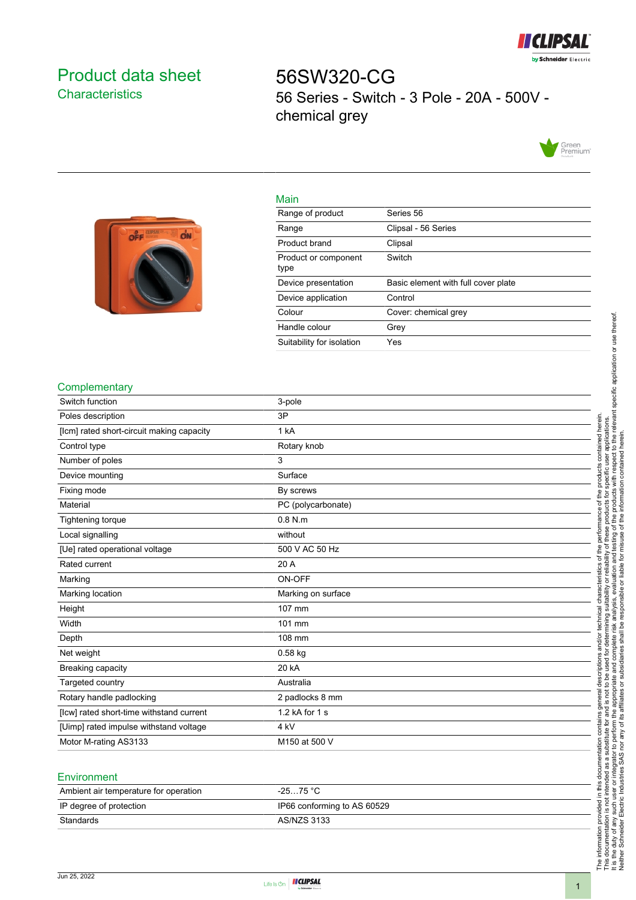

# <span id="page-0-0"></span>Product data sheet **Characteristics**

56SW320-CG 56 Series - Switch - 3 Pole - 20A - 500V chemical grey





| .                            |                                     |
|------------------------------|-------------------------------------|
| Range of product             | Series 56                           |
| Range                        | Clipsal - 56 Series                 |
| Product brand                | Clipsal                             |
| Product or component<br>type | Switch                              |
|                              |                                     |
| Device presentation          | Basic element with full cover plate |
| Device application           | Control                             |
| Colour                       | Cover: chemical grey                |
| Handle colour                | Grev                                |
| Suitability for isolation    | Yes                                 |

### **Complementary**

| Switch function                           | 3-pole             |
|-------------------------------------------|--------------------|
| Poles description                         | 3P                 |
| [lcm] rated short-circuit making capacity | 1 kA               |
| Control type                              | Rotary knob        |
| Number of poles                           | 3                  |
| Device mounting                           | Surface            |
| Fixing mode                               | By screws          |
| Material                                  | PC (polycarbonate) |
| Tightening torque                         | $0.8$ N.m          |
| Local signalling                          | without            |
| [Ue] rated operational voltage            | 500 V AC 50 Hz     |
| Rated current                             | 20 A               |
| Marking                                   | ON-OFF             |
| Marking location                          | Marking on surface |
| Height                                    | 107 mm             |
| Width                                     | 101 mm             |
| Depth                                     | 108 mm             |
| Net weight                                | $0.58$ kg          |
| Breaking capacity                         | 20 kA              |
| Targeted country                          | Australia          |
| Rotary handle padlocking                  | 2 padlocks 8 mm    |
| [lcw] rated short-time withstand current  | 1.2 kA for 1 s     |
| [Uimp] rated impulse withstand voltage    | 4 kV               |
| Motor M-rating AS3133                     | M150 at 500 V      |
|                                           |                    |

#### **Environment**

| Ambient air temperature for operation | -25…75 °C                   |
|---------------------------------------|-----------------------------|
| IP degree of protection               | IP66 conforming to AS 60529 |
| Standards                             | AS/NZS 3133                 |